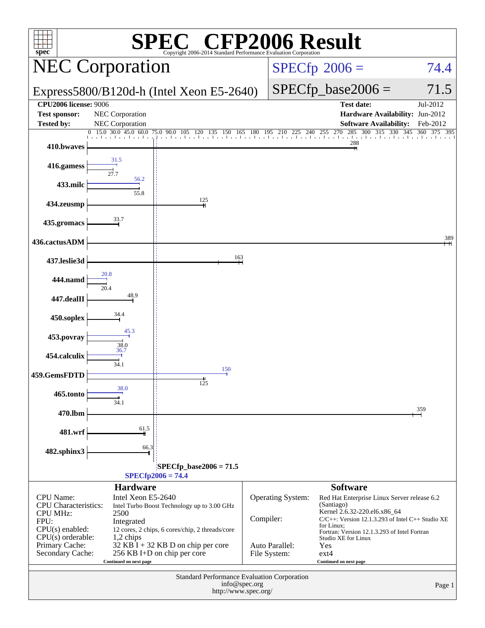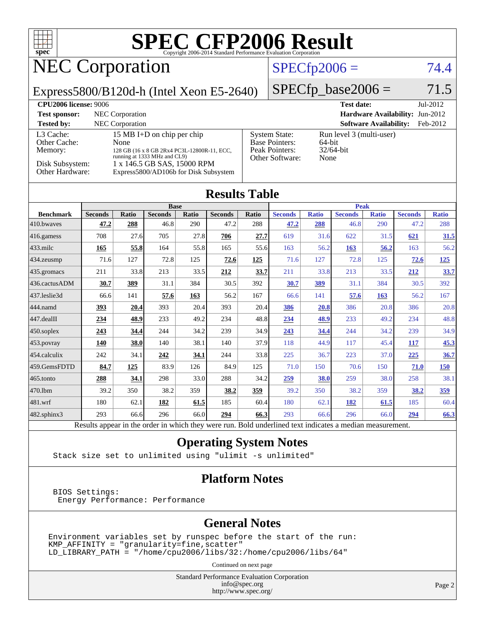

# NEC Corporation

### $SPECfp2006 = 74.4$  $SPECfp2006 = 74.4$

Express5800/B120d-h (Intel Xeon E5-2640)

 $SPECfp\_base2006 = 71.5$ 

| <b>CPU2006 license: 9006</b> |                                                                             |                                   | <b>Test date:</b><br>$Jul-2012$           |
|------------------------------|-----------------------------------------------------------------------------|-----------------------------------|-------------------------------------------|
| <b>Test sponsor:</b>         | NEC Corporation                                                             |                                   | <b>Hardware Availability: Jun-2012</b>    |
| <b>Tested by:</b>            | <b>NEC</b> Corporation                                                      |                                   | <b>Software Availability:</b><br>Feb-2012 |
| L3 Cache:                    | 15 MB I+D on chip per chip                                                  | <b>System State:</b>              | Run level 3 (multi-user)                  |
| Other Cache:                 | <b>None</b>                                                                 | <b>Base Pointers:</b>             | 64-bit                                    |
| Memory:                      | 128 GB (16 x 8 GB 2Rx4 PC3L-12800R-11, ECC,<br>running at 1333 MHz and CL9) | Peak Pointers:<br>Other Software: | $32/64$ -bit<br>None                      |
| Disk Subsystem:              | 1 x 146.5 GB SAS, 15000 RPM                                                 |                                   |                                           |
| Other Hardware:              | Express5800/AD106b for Disk Subsystem                                       |                                   |                                           |

#### **[Results Table](http://www.spec.org/auto/cpu2006/Docs/result-fields.html#ResultsTable)**

|                      | <b>Base</b>    |              |                |       | <b>Peak</b>    |            |                |              |                |              |                |              |
|----------------------|----------------|--------------|----------------|-------|----------------|------------|----------------|--------------|----------------|--------------|----------------|--------------|
| <b>Benchmark</b>     | <b>Seconds</b> | <b>Ratio</b> | <b>Seconds</b> | Ratio | <b>Seconds</b> | Ratio      | <b>Seconds</b> | <b>Ratio</b> | <b>Seconds</b> | <b>Ratio</b> | <b>Seconds</b> | <b>Ratio</b> |
| 410.bwayes           | 47.2           | 288          | 46.8           | 290   | 47.2           | 288        | 47.2           | 288          | 46.8           | 290          | 47.2           | 288          |
| $416$ .gamess        | 708            | 27.6         | 705            | 27.8  | 706            | 27.7       | 619            | 31.6         | 622            | 31.5         | 621            | 31.5         |
| $ 433 \text{.}$ milc | 165            | 55.8         | 164            | 55.8  | 165            | 55.6       | 163            | 56.2         | 163            | 56.2         | 163            | 56.2         |
| 434.zeusmp           | 71.6           | 127          | 72.8           | 125   | 72.6           | <u>125</u> | 71.6           | 127          | 72.8           | 125          | 72.6           | <u>125</u>   |
| $435$ .gromacs       | 211            | 33.8         | 213            | 33.5  | 212            | 33.7       | 211            | 33.8         | 213            | 33.5         | 212            | 33.7         |
| 436.cactusADM        | 30.7           | 389          | 31.1           | 384   | 30.5           | 392        | 30.7           | 389          | 31.1           | 384          | 30.5           | 392          |
| 437.leslie3d         | 66.6           | 141          | 57.6           | 163   | 56.2           | 167        | 66.6           | 141          | 57.6           | 163          | 56.2           | 167          |
| 444.namd             | 393            | 20.4         | 393            | 20.4  | 393            | 20.4       | 386            | 20.8         | 386            | 20.8         | 386            | 20.8         |
| $447$ .dealII        | 234            | 48.9         | 233            | 49.2  | 234            | 48.8       | <u>234</u>     | 48.9         | 233            | 49.2         | 234            | 48.8         |
| $ 450$ .soplex       | 243            | 34.4         | 244            | 34.2  | 239            | 34.9       | 243            | 34.4         | 244            | 34.2         | 239            | 34.9         |
| $ 453$ . povray      | <b>140</b>     | 38.0         | 140            | 38.1  | 140            | 37.9       | 118            | 44.9         | 117            | 45.4         | 117            | 45.3         |
| 454.calculix         | 242            | 34.1         | 242            | 34.1  | 244            | 33.8       | 225            | 36.7         | 223            | 37.0         | 225            | 36.7         |
| 459.GemsFDTD         | 84.7           | <u>125</u>   | 83.9           | 126   | 84.9           | 125        | 71.0           | 150          | 70.6           | 150          | 71.0           | 150          |
| $ 465$ .tonto        | 288            | 34.1         | 298            | 33.0  | 288            | 34.2       | 259            | <b>38.0</b>  | 259            | 38.0         | 258            | 38.1         |
| 470.1bm              | 39.2           | 350          | 38.2           | 359   | 38.2           | 359        | 39.2           | 350          | 38.2           | 359          | 38.2           | <u>359</u>   |
| 481.wrf              | 180            | 62.1         | 182            | 61.5  | 185            | 60.4       | 180            | 62.1         | 182            | 61.5         | 185            | 60.4         |
| 482.sphinx3          | 293            | 66.6         | 296            | 66.0  | 294            | 66.3       | 293            | 66.6         | 296            | 66.0         | 294            | 66.3         |

Results appear in the [order in which they were run.](http://www.spec.org/auto/cpu2006/Docs/result-fields.html#RunOrder) Bold underlined text [indicates a median measurement.](http://www.spec.org/auto/cpu2006/Docs/result-fields.html#Median)

### **[Operating System Notes](http://www.spec.org/auto/cpu2006/Docs/result-fields.html#OperatingSystemNotes)**

Stack size set to unlimited using "ulimit -s unlimited"

### **[Platform Notes](http://www.spec.org/auto/cpu2006/Docs/result-fields.html#PlatformNotes)**

 BIOS Settings: Energy Performance: Performance

#### **[General Notes](http://www.spec.org/auto/cpu2006/Docs/result-fields.html#GeneralNotes)**

Environment variables set by runspec before the start of the run: KMP\_AFFINITY = "granularity=fine,scatter" LD\_LIBRARY\_PATH = "/home/cpu2006/libs/32:/home/cpu2006/libs/64"

Continued on next page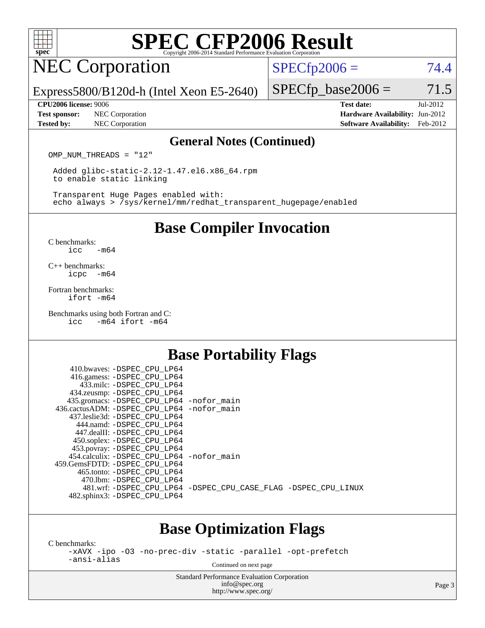

## NEC Corporation

 $SPECTp2006 = 74.4$ 

Express5800/B120d-h (Intel Xeon E5-2640)

#### **[CPU2006 license:](http://www.spec.org/auto/cpu2006/Docs/result-fields.html#CPU2006license)** 9006 **[Test date:](http://www.spec.org/auto/cpu2006/Docs/result-fields.html#Testdate)** Jul-2012

**[Test sponsor:](http://www.spec.org/auto/cpu2006/Docs/result-fields.html#Testsponsor)** NEC Corporation **NEC Corporation [Hardware Availability:](http://www.spec.org/auto/cpu2006/Docs/result-fields.html#HardwareAvailability)** Jun-2012 **[Tested by:](http://www.spec.org/auto/cpu2006/Docs/result-fields.html#Testedby)** NEC Corporation **[Software Availability:](http://www.spec.org/auto/cpu2006/Docs/result-fields.html#SoftwareAvailability)** Feb-2012

 $SPECTp\_base2006 = 71.5$ 

### **[General Notes \(Continued\)](http://www.spec.org/auto/cpu2006/Docs/result-fields.html#GeneralNotes)**

OMP NUM THREADS = "12"

 Added glibc-static-2.12-1.47.el6.x86\_64.rpm to enable static linking

 Transparent Huge Pages enabled with: echo always > /sys/kernel/mm/redhat\_transparent\_hugepage/enabled

### **[Base Compiler Invocation](http://www.spec.org/auto/cpu2006/Docs/result-fields.html#BaseCompilerInvocation)**

[C benchmarks](http://www.spec.org/auto/cpu2006/Docs/result-fields.html#Cbenchmarks): [icc -m64](http://www.spec.org/cpu2006/results/res2012q3/cpu2006-20120802-24019.flags.html#user_CCbase_intel_icc_64bit_0b7121f5ab7cfabee23d88897260401c)

[C++ benchmarks:](http://www.spec.org/auto/cpu2006/Docs/result-fields.html#CXXbenchmarks) [icpc -m64](http://www.spec.org/cpu2006/results/res2012q3/cpu2006-20120802-24019.flags.html#user_CXXbase_intel_icpc_64bit_bedb90c1146cab66620883ef4f41a67e)

[Fortran benchmarks](http://www.spec.org/auto/cpu2006/Docs/result-fields.html#Fortranbenchmarks): [ifort -m64](http://www.spec.org/cpu2006/results/res2012q3/cpu2006-20120802-24019.flags.html#user_FCbase_intel_ifort_64bit_ee9d0fb25645d0210d97eb0527dcc06e)

[Benchmarks using both Fortran and C](http://www.spec.org/auto/cpu2006/Docs/result-fields.html#BenchmarksusingbothFortranandC): [icc -m64](http://www.spec.org/cpu2006/results/res2012q3/cpu2006-20120802-24019.flags.html#user_CC_FCbase_intel_icc_64bit_0b7121f5ab7cfabee23d88897260401c) [ifort -m64](http://www.spec.org/cpu2006/results/res2012q3/cpu2006-20120802-24019.flags.html#user_CC_FCbase_intel_ifort_64bit_ee9d0fb25645d0210d97eb0527dcc06e)

### **[Base Portability Flags](http://www.spec.org/auto/cpu2006/Docs/result-fields.html#BasePortabilityFlags)**

| 410.bwaves: -DSPEC_CPU_LP64                              |                                                                |
|----------------------------------------------------------|----------------------------------------------------------------|
| 416.gamess: -DSPEC_CPU_LP64<br>433.milc: -DSPEC CPU LP64 |                                                                |
| 434.zeusmp: -DSPEC_CPU_LP64                              |                                                                |
| 435.gromacs: -DSPEC_CPU_LP64 -nofor_main                 |                                                                |
| 436.cactusADM: -DSPEC CPU LP64 -nofor main               |                                                                |
| 437.leslie3d: -DSPEC CPU LP64                            |                                                                |
| 444.namd: -DSPEC CPU LP64                                |                                                                |
| 447.dealII: -DSPEC CPU LP64                              |                                                                |
| 450.soplex: -DSPEC_CPU_LP64                              |                                                                |
| 453.povray: -DSPEC_CPU_LP64                              |                                                                |
| 454.calculix: - DSPEC CPU LP64 - nofor main              |                                                                |
| 459.GemsFDTD: -DSPEC CPU LP64                            |                                                                |
| 465.tonto: -DSPEC CPU LP64                               |                                                                |
| 470.1bm: - DSPEC CPU LP64                                |                                                                |
|                                                          | 481.wrf: -DSPEC_CPU_LP64 -DSPEC_CPU_CASE_FLAG -DSPEC_CPU_LINUX |
| 482.sphinx3: -DSPEC_CPU_LP64                             |                                                                |
|                                                          |                                                                |

### **[Base Optimization Flags](http://www.spec.org/auto/cpu2006/Docs/result-fields.html#BaseOptimizationFlags)**

[C benchmarks](http://www.spec.org/auto/cpu2006/Docs/result-fields.html#Cbenchmarks):

[-xAVX](http://www.spec.org/cpu2006/results/res2012q3/cpu2006-20120802-24019.flags.html#user_CCbase_f-xAVX) [-ipo](http://www.spec.org/cpu2006/results/res2012q3/cpu2006-20120802-24019.flags.html#user_CCbase_f-ipo) [-O3](http://www.spec.org/cpu2006/results/res2012q3/cpu2006-20120802-24019.flags.html#user_CCbase_f-O3) [-no-prec-div](http://www.spec.org/cpu2006/results/res2012q3/cpu2006-20120802-24019.flags.html#user_CCbase_f-no-prec-div) [-static](http://www.spec.org/cpu2006/results/res2012q3/cpu2006-20120802-24019.flags.html#user_CCbase_f-static) [-parallel](http://www.spec.org/cpu2006/results/res2012q3/cpu2006-20120802-24019.flags.html#user_CCbase_f-parallel) [-opt-prefetch](http://www.spec.org/cpu2006/results/res2012q3/cpu2006-20120802-24019.flags.html#user_CCbase_f-opt-prefetch) [-ansi-alias](http://www.spec.org/cpu2006/results/res2012q3/cpu2006-20120802-24019.flags.html#user_CCbase_f-ansi-alias)

Continued on next page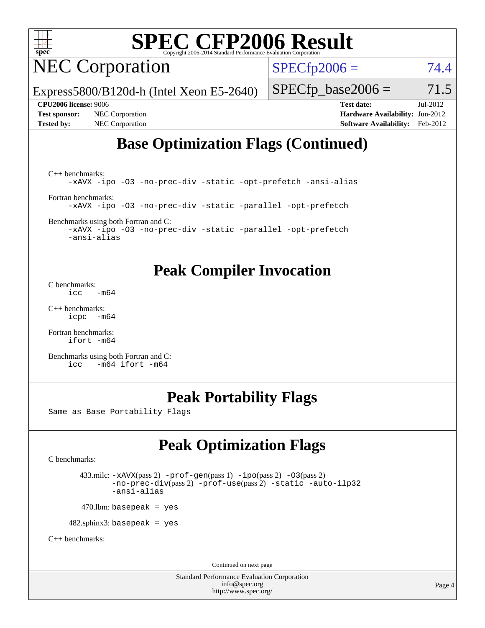

## NEC Corporation

 $SPECTp2006 = 74.4$ 

Express5800/B120d-h (Intel Xeon E5-2640)

 $SPECTp\_base2006 = 71.5$ 

**[Test sponsor:](http://www.spec.org/auto/cpu2006/Docs/result-fields.html#Testsponsor)** NEC Corporation **NEC Corporation [Hardware Availability:](http://www.spec.org/auto/cpu2006/Docs/result-fields.html#HardwareAvailability)** Jun-2012

**[CPU2006 license:](http://www.spec.org/auto/cpu2006/Docs/result-fields.html#CPU2006license)** 9006 **[Test date:](http://www.spec.org/auto/cpu2006/Docs/result-fields.html#Testdate)** Jul-2012 **[Tested by:](http://www.spec.org/auto/cpu2006/Docs/result-fields.html#Testedby)** NEC Corporation **[Software Availability:](http://www.spec.org/auto/cpu2006/Docs/result-fields.html#SoftwareAvailability)** Feb-2012

### **[Base Optimization Flags \(Continued\)](http://www.spec.org/auto/cpu2006/Docs/result-fields.html#BaseOptimizationFlags)**

[C++ benchmarks:](http://www.spec.org/auto/cpu2006/Docs/result-fields.html#CXXbenchmarks) [-xAVX](http://www.spec.org/cpu2006/results/res2012q3/cpu2006-20120802-24019.flags.html#user_CXXbase_f-xAVX) [-ipo](http://www.spec.org/cpu2006/results/res2012q3/cpu2006-20120802-24019.flags.html#user_CXXbase_f-ipo) [-O3](http://www.spec.org/cpu2006/results/res2012q3/cpu2006-20120802-24019.flags.html#user_CXXbase_f-O3) [-no-prec-div](http://www.spec.org/cpu2006/results/res2012q3/cpu2006-20120802-24019.flags.html#user_CXXbase_f-no-prec-div) [-static](http://www.spec.org/cpu2006/results/res2012q3/cpu2006-20120802-24019.flags.html#user_CXXbase_f-static) [-opt-prefetch](http://www.spec.org/cpu2006/results/res2012q3/cpu2006-20120802-24019.flags.html#user_CXXbase_f-opt-prefetch) [-ansi-alias](http://www.spec.org/cpu2006/results/res2012q3/cpu2006-20120802-24019.flags.html#user_CXXbase_f-ansi-alias) [Fortran benchmarks](http://www.spec.org/auto/cpu2006/Docs/result-fields.html#Fortranbenchmarks): [-xAVX](http://www.spec.org/cpu2006/results/res2012q3/cpu2006-20120802-24019.flags.html#user_FCbase_f-xAVX) [-ipo](http://www.spec.org/cpu2006/results/res2012q3/cpu2006-20120802-24019.flags.html#user_FCbase_f-ipo) [-O3](http://www.spec.org/cpu2006/results/res2012q3/cpu2006-20120802-24019.flags.html#user_FCbase_f-O3) [-no-prec-div](http://www.spec.org/cpu2006/results/res2012q3/cpu2006-20120802-24019.flags.html#user_FCbase_f-no-prec-div) [-static](http://www.spec.org/cpu2006/results/res2012q3/cpu2006-20120802-24019.flags.html#user_FCbase_f-static) [-parallel](http://www.spec.org/cpu2006/results/res2012q3/cpu2006-20120802-24019.flags.html#user_FCbase_f-parallel) [-opt-prefetch](http://www.spec.org/cpu2006/results/res2012q3/cpu2006-20120802-24019.flags.html#user_FCbase_f-opt-prefetch)

[Benchmarks using both Fortran and C](http://www.spec.org/auto/cpu2006/Docs/result-fields.html#BenchmarksusingbothFortranandC):

[-xAVX](http://www.spec.org/cpu2006/results/res2012q3/cpu2006-20120802-24019.flags.html#user_CC_FCbase_f-xAVX) [-ipo](http://www.spec.org/cpu2006/results/res2012q3/cpu2006-20120802-24019.flags.html#user_CC_FCbase_f-ipo) [-O3](http://www.spec.org/cpu2006/results/res2012q3/cpu2006-20120802-24019.flags.html#user_CC_FCbase_f-O3) [-no-prec-div](http://www.spec.org/cpu2006/results/res2012q3/cpu2006-20120802-24019.flags.html#user_CC_FCbase_f-no-prec-div) [-static](http://www.spec.org/cpu2006/results/res2012q3/cpu2006-20120802-24019.flags.html#user_CC_FCbase_f-static) [-parallel](http://www.spec.org/cpu2006/results/res2012q3/cpu2006-20120802-24019.flags.html#user_CC_FCbase_f-parallel) [-opt-prefetch](http://www.spec.org/cpu2006/results/res2012q3/cpu2006-20120802-24019.flags.html#user_CC_FCbase_f-opt-prefetch) [-ansi-alias](http://www.spec.org/cpu2006/results/res2012q3/cpu2006-20120802-24019.flags.html#user_CC_FCbase_f-ansi-alias)

### **[Peak Compiler Invocation](http://www.spec.org/auto/cpu2006/Docs/result-fields.html#PeakCompilerInvocation)**

[C benchmarks](http://www.spec.org/auto/cpu2006/Docs/result-fields.html#Cbenchmarks):  $\text{icc}$   $-\text{m64}$ 

[C++ benchmarks:](http://www.spec.org/auto/cpu2006/Docs/result-fields.html#CXXbenchmarks) [icpc -m64](http://www.spec.org/cpu2006/results/res2012q3/cpu2006-20120802-24019.flags.html#user_CXXpeak_intel_icpc_64bit_bedb90c1146cab66620883ef4f41a67e)

[Fortran benchmarks](http://www.spec.org/auto/cpu2006/Docs/result-fields.html#Fortranbenchmarks): [ifort -m64](http://www.spec.org/cpu2006/results/res2012q3/cpu2006-20120802-24019.flags.html#user_FCpeak_intel_ifort_64bit_ee9d0fb25645d0210d97eb0527dcc06e)

[Benchmarks using both Fortran and C](http://www.spec.org/auto/cpu2006/Docs/result-fields.html#BenchmarksusingbothFortranandC): [icc -m64](http://www.spec.org/cpu2006/results/res2012q3/cpu2006-20120802-24019.flags.html#user_CC_FCpeak_intel_icc_64bit_0b7121f5ab7cfabee23d88897260401c) [ifort -m64](http://www.spec.org/cpu2006/results/res2012q3/cpu2006-20120802-24019.flags.html#user_CC_FCpeak_intel_ifort_64bit_ee9d0fb25645d0210d97eb0527dcc06e)

### **[Peak Portability Flags](http://www.spec.org/auto/cpu2006/Docs/result-fields.html#PeakPortabilityFlags)**

Same as Base Portability Flags

### **[Peak Optimization Flags](http://www.spec.org/auto/cpu2006/Docs/result-fields.html#PeakOptimizationFlags)**

[C benchmarks](http://www.spec.org/auto/cpu2006/Docs/result-fields.html#Cbenchmarks):

 433.milc: [-xAVX](http://www.spec.org/cpu2006/results/res2012q3/cpu2006-20120802-24019.flags.html#user_peakPASS2_CFLAGSPASS2_LDFLAGS433_milc_f-xAVX)(pass 2) [-prof-gen](http://www.spec.org/cpu2006/results/res2012q3/cpu2006-20120802-24019.flags.html#user_peakPASS1_CFLAGSPASS1_LDFLAGS433_milc_prof_gen_e43856698f6ca7b7e442dfd80e94a8fc)(pass 1) [-ipo](http://www.spec.org/cpu2006/results/res2012q3/cpu2006-20120802-24019.flags.html#user_peakPASS2_CFLAGSPASS2_LDFLAGS433_milc_f-ipo)(pass 2) [-O3](http://www.spec.org/cpu2006/results/res2012q3/cpu2006-20120802-24019.flags.html#user_peakPASS2_CFLAGSPASS2_LDFLAGS433_milc_f-O3)(pass 2) [-no-prec-div](http://www.spec.org/cpu2006/results/res2012q3/cpu2006-20120802-24019.flags.html#user_peakPASS2_CFLAGSPASS2_LDFLAGS433_milc_f-no-prec-div)(pass 2) [-prof-use](http://www.spec.org/cpu2006/results/res2012q3/cpu2006-20120802-24019.flags.html#user_peakPASS2_CFLAGSPASS2_LDFLAGS433_milc_prof_use_bccf7792157ff70d64e32fe3e1250b55)(pass 2) [-static](http://www.spec.org/cpu2006/results/res2012q3/cpu2006-20120802-24019.flags.html#user_peakOPTIMIZE433_milc_f-static) [-auto-ilp32](http://www.spec.org/cpu2006/results/res2012q3/cpu2006-20120802-24019.flags.html#user_peakCOPTIMIZE433_milc_f-auto-ilp32) [-ansi-alias](http://www.spec.org/cpu2006/results/res2012q3/cpu2006-20120802-24019.flags.html#user_peakCOPTIMIZE433_milc_f-ansi-alias)

 $470.$ lbm: basepeak = yes

482.sphinx3: basepeak = yes

[C++ benchmarks:](http://www.spec.org/auto/cpu2006/Docs/result-fields.html#CXXbenchmarks)

Continued on next page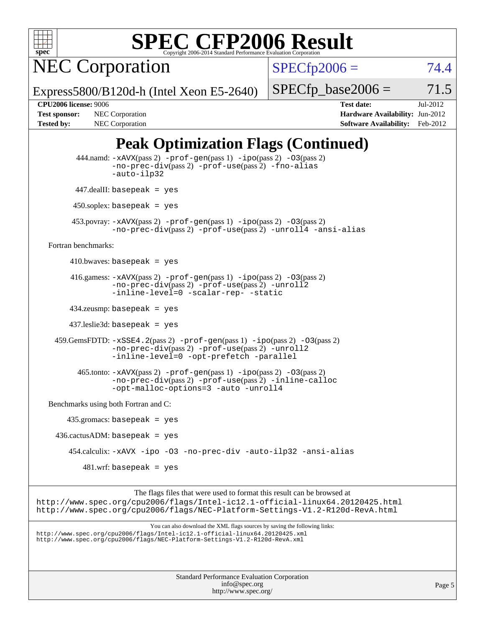

NEC Corporation

 $SPECfp2006 = 74.4$  $SPECfp2006 = 74.4$ 

Express5800/B120d-h (Intel Xeon E5-2640)

 $SPECTp\_base2006 = 71.5$ 

**[CPU2006 license:](http://www.spec.org/auto/cpu2006/Docs/result-fields.html#CPU2006license)** 9006 **[Test date:](http://www.spec.org/auto/cpu2006/Docs/result-fields.html#Testdate)** Jul-2012 **[Test sponsor:](http://www.spec.org/auto/cpu2006/Docs/result-fields.html#Testsponsor)** NEC Corporation **NEC Corporation [Hardware Availability:](http://www.spec.org/auto/cpu2006/Docs/result-fields.html#HardwareAvailability)** Jun-2012 **[Tested by:](http://www.spec.org/auto/cpu2006/Docs/result-fields.html#Testedby)** NEC Corporation **[Software Availability:](http://www.spec.org/auto/cpu2006/Docs/result-fields.html#SoftwareAvailability)** Feb-2012

### **[Peak Optimization Flags \(Continued\)](http://www.spec.org/auto/cpu2006/Docs/result-fields.html#PeakOptimizationFlags)**

```
Standard Performance Evaluation Corporation
                                               info@spec.org
           444.namd: -xAVX(pass 2) -prof-gen(pass 1) -ipo(pass 2) -O3(pass 2)
                   -no-prec-div(pass 2) -prof-use(pass 2) -fno-alias
                   -auto-ilp32
           447.dealII: basepeak = yes
          450.soplex: basepeak = yes
          453.povray: -xAVX(pass 2) -prof-gen(pass 1) -ipo(pass 2) -O3(pass 2)
                   -no-prec-div(pass 2) -prof-use(pass 2) -unroll4 -ansi-alias
   Fortran benchmarks: 
         410.bwaves: basepeak = yes
        416.gamess: -xAVX(pass 2) -prof-gen(pass 1) -ipo(pass 2) -O3(pass 2)
                   -no-prec-div(pass 2) -prof-use(pass 2) -unroll2
                   -inline-level=0 -scalar-rep- -static
         434.zeusmp: basepeak = yes
         437.leslie3d: basepeak = yes
     459.GemsFDTD: -xSSE4.2(pass 2) -prof-gen(pass 1) -ipo(pass 2) -O3(pass 2)
                   -no-prec-div(pass 2) -prof-use(pass 2) -unroll2
                   -inline-level=0 -opt-prefetch -parallel
          465.tonto: -xAVX(pass 2) -prof-gen(pass 1) -po(pass 2) -03(pass 2)
                   -no-prec-div(pass 2) -prof-use(pass 2) -inline-calloc
                   -opt-malloc-options=3 -auto -unroll4
   Benchmarks using both Fortran and C: 
        435.gromacs: basepeak = yes
     436.cactusADM: basepeak = yes
         454.calculix: -xAVX -ipo -O3 -no-prec-div -auto-ilp32 -ansi-alias
            481.wrf: basepeak = yes
                         The flags files that were used to format this result can be browsed at
http://www.spec.org/cpu2006/flags/Intel-ic12.1-official-linux64.20120425.html
http://www.spec.org/cpu2006/flags/NEC-Platform-Settings-V1.2-R120d-RevA.html
                             You can also download the XML flags sources by saving the following links:
http://www.spec.org/cpu2006/flags/Intel-ic12.1-official-linux64.20120425.xml
http://www.spec.org/cpu2006/flags/NEC-Platform-Settings-V1.2-R120d-RevA.xml
```
<http://www.spec.org/>